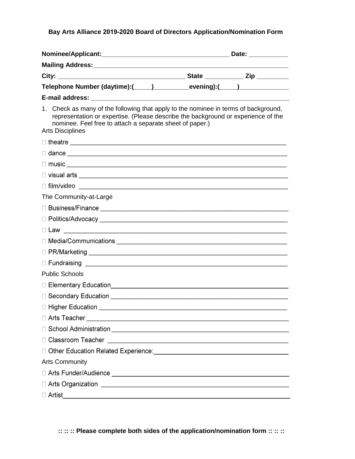Bay Arts Alliance 2019-2020 Board of Directors Application/Nomination Form

|                                                                                                                                                                                                                                                                 |  |  | Date: __________ |  |
|-----------------------------------------------------------------------------------------------------------------------------------------------------------------------------------------------------------------------------------------------------------------|--|--|------------------|--|
|                                                                                                                                                                                                                                                                 |  |  |                  |  |
|                                                                                                                                                                                                                                                                 |  |  |                  |  |
| Telephone Number (daytime):(_____)_____________evening):(_____)_________________                                                                                                                                                                                |  |  |                  |  |
|                                                                                                                                                                                                                                                                 |  |  |                  |  |
| 1. Check as many of the following that apply to the nominee in terms of background,<br>representation or expertise. (Please describe the background or experience of the<br>nominee. Feel free to attach a separate sheet of paper.)<br><b>Arts Disciplines</b> |  |  |                  |  |
|                                                                                                                                                                                                                                                                 |  |  |                  |  |
|                                                                                                                                                                                                                                                                 |  |  |                  |  |
| $\Box$ music $\Box$                                                                                                                                                                                                                                             |  |  |                  |  |
|                                                                                                                                                                                                                                                                 |  |  |                  |  |
| $\Box$ film/video $\Box$                                                                                                                                                                                                                                        |  |  |                  |  |
| The Community-at-Large                                                                                                                                                                                                                                          |  |  |                  |  |
|                                                                                                                                                                                                                                                                 |  |  |                  |  |
|                                                                                                                                                                                                                                                                 |  |  |                  |  |
|                                                                                                                                                                                                                                                                 |  |  |                  |  |
|                                                                                                                                                                                                                                                                 |  |  |                  |  |
|                                                                                                                                                                                                                                                                 |  |  |                  |  |
|                                                                                                                                                                                                                                                                 |  |  |                  |  |
| <b>Public Schools</b>                                                                                                                                                                                                                                           |  |  |                  |  |
| □ Elementary Education                                                                                                                                                                                                                                          |  |  |                  |  |
|                                                                                                                                                                                                                                                                 |  |  |                  |  |
|                                                                                                                                                                                                                                                                 |  |  |                  |  |
|                                                                                                                                                                                                                                                                 |  |  |                  |  |
|                                                                                                                                                                                                                                                                 |  |  |                  |  |
|                                                                                                                                                                                                                                                                 |  |  |                  |  |
|                                                                                                                                                                                                                                                                 |  |  |                  |  |
| <b>Arts Community</b>                                                                                                                                                                                                                                           |  |  |                  |  |
|                                                                                                                                                                                                                                                                 |  |  |                  |  |
|                                                                                                                                                                                                                                                                 |  |  |                  |  |
| □ Artist                                                                                                                                                                                                                                                        |  |  |                  |  |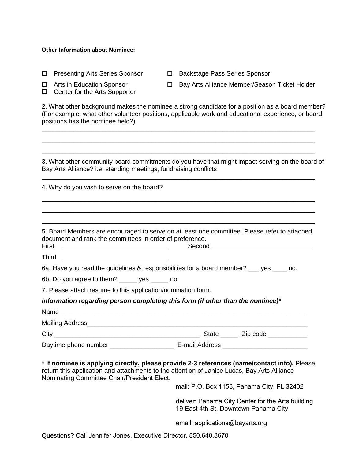#### **Other Information about Nominee:**

| □            | <b>Presenting Arts Series Sponsor</b>                                          | □ | <b>Backstage Pass Series Sponsor</b>                                                                                                                                                                  |
|--------------|--------------------------------------------------------------------------------|---|-------------------------------------------------------------------------------------------------------------------------------------------------------------------------------------------------------|
| □            | Arts in Education Sponsor<br>Center for the Arts Supporter                     | 0 | Bay Arts Alliance Member/Season Ticket Holder                                                                                                                                                         |
|              | positions has the nominee held?)                                               |   | 2. What other background makes the nominee a strong candidate for a position as a board member?<br>(For example, what other volunteer positions, applicable work and educational experience, or board |
|              |                                                                                |   | 3. What other community board commitments do you have that might impact serving on the board of                                                                                                       |
|              | Bay Arts Alliance? i.e. standing meetings, fundraising conflicts               |   |                                                                                                                                                                                                       |
|              | 4. Why do you wish to serve on the board?                                      |   |                                                                                                                                                                                                       |
| First        | document and rank the committees in order of preference.                       |   | 5. Board Members are encouraged to serve on at least one committee. Please refer to attached<br>Second                                                                                                |
| <b>Third</b> |                                                                                |   |                                                                                                                                                                                                       |
|              |                                                                                |   | 6a. Have you read the guidelines & responsibilities for a board member? ___ yes ____ no.                                                                                                              |
|              | 6b. Do you agree to them? _____ yes _____ no                                   |   |                                                                                                                                                                                                       |
|              | 7. Please attach resume to this application/nomination form.                   |   |                                                                                                                                                                                                       |
|              | Information regarding person completing this form (if other than the nominee)* |   |                                                                                                                                                                                                       |
|              |                                                                                |   |                                                                                                                                                                                                       |
|              | Mailing Address Management and the Mailing Address                             |   |                                                                                                                                                                                                       |
| $City_$      |                                                                                |   | State _______ Zip code ____________                                                                                                                                                                   |
|              |                                                                                |   |                                                                                                                                                                                                       |
|              | Nominating Committee Chair/President Elect.                                    |   | * If nominee is applying directly, please provide 2-3 references (name/contact info). Please<br>return this application and attachments to the attention of Janice Lucas, Bay Arts Alliance           |
|              |                                                                                |   | mail: P.O. Box 1153, Panama City, FL 32402                                                                                                                                                            |
|              |                                                                                |   | deliver: Panama City Center for the Arts building<br>19 East 4th St, Downtown Panama City                                                                                                             |
|              |                                                                                |   | email: applications@bayarts.org                                                                                                                                                                       |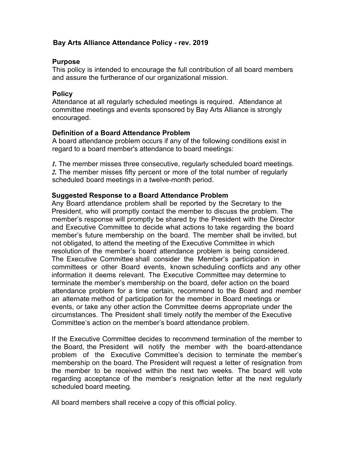# **Bay Arts Alliance Attendance Policy - rev. 2019**

### **Purpose**

This policy is intended to encourage the full contribution of all board members and assure the furtherance of our organizational mission.

### **Policy**

Attendance at all regularly scheduled meetings is required. Attendance at committee meetings and events sponsored by Bay Arts Alliance is strongly encouraged.

### **Definition of a Board Attendance Problem**

A board attendance problem occurs if any of the following conditions exist in regard to a board member's attendance to board meetings:

*1.* The member misses three consecutive, regularly scheduled board meetings. *2.* The member misses fifty percent or more of the total number of regularly scheduled board meetings in a twelve-month period.

### **Suggested Response to a Board Attendance Problem**

Any Board attendance problem shall be reported by the Secretary to the President, who will promptly contact the member to discuss the problem. The member's response will promptly be shared by the President with the Director and Executive Committee to decide what actions to take regarding the board member's future membership on the board. The member shall be invited, but not obligated, to attend the meeting of the Executive Committee in which resolution of the member's board attendance problem is being considered. The Executive Committee shall consider the Member's participation in committees or other Board events, known scheduling conflicts and any other information it deems relevant. The Executive Committee may determine to terminate the member's membership on the board, defer action on the board attendance problem for a time certain, recommend to the Board and member an alternate method of participation for the member in Board meetings or events, or take any other action the Committee deems appropriate under the circumstances. The President shall timely notify the member of the Executive Committee's action on the member's board attendance problem.

If the Executive Committee decides to recommend termination of the member to the Board, the President will notify the member with the board-attendance problem of the Executive Committee's decision to terminate the member's membership on the board. The President will request a letter of resignation from the member to be received within the next two weeks. The board will vote regarding acceptance of the member's resignation letter at the next regularly scheduled board meeting.

All board members shall receive a copy of this official policy.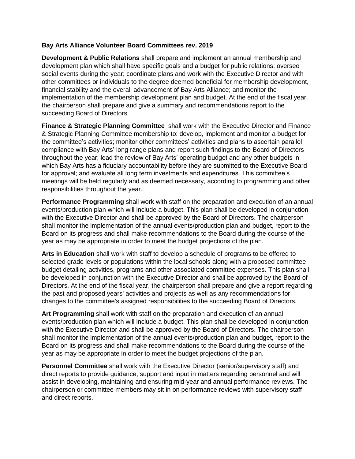#### **Bay Arts Alliance Volunteer Board Committees rev. 2019**

**Development & Public Relations** shall prepare and implement an annual membership and development plan which shall have specific goals and a budget for public relations; oversee social events during the year; coordinate plans and work with the Executive Director and with other committees or individuals to the degree deemed beneficial for membership development, financial stability and the overall advancement of Bay Arts Alliance; and monitor the implementation of the membership development plan and budget. At the end of the fiscal year, the chairperson shall prepare and give a summary and recommendations report to the succeeding Board of Directors.

**Finance & Strategic Planning Committee** shall work with the Executive Director and Finance & Strategic Planning Committee membership to: develop, implement and monitor a budget for the committee's activities; monitor other committees' activities and plans to ascertain parallel compliance with Bay Arts' long range plans and report such findings to the Board of Directors throughout the year; lead the review of Bay Arts' operating budget and any other budgets in which Bay Arts has a fiduciary accountability before they are submitted to the Executive Board for approval; and evaluate all long term investments and expenditures. This committee's meetings will be held regularly and as deemed necessary, according to programming and other responsibilities throughout the year.

**Performance Programming** shall work with staff on the preparation and execution of an annual events/production plan which will include a budget. This plan shall be developed in conjunction with the Executive Director and shall be approved by the Board of Directors. The chairperson shall monitor the implementation of the annual events/production plan and budget, report to the Board on its progress and shall make recommendations to the Board during the course of the year as may be appropriate in order to meet the budget projections of the plan.

**Arts in Education** shall work with staff to develop a schedule of programs to be offered to selected grade levels or populations within the local schools along with a proposed committee budget detailing activities, programs and other associated committee expenses. This plan shall be developed in conjunction with the Executive Director and shall be approved by the Board of Directors. At the end of the fiscal year, the chairperson shall prepare and give a report regarding the past and proposed years' activities and projects as well as any recommendations for changes to the committee's assigned responsibilities to the succeeding Board of Directors.

**Art Programming** shall work with staff on the preparation and execution of an annual events/production plan which will include a budget. This plan shall be developed in conjunction with the Executive Director and shall be approved by the Board of Directors. The chairperson shall monitor the implementation of the annual events/production plan and budget, report to the Board on its progress and shall make recommendations to the Board during the course of the year as may be appropriate in order to meet the budget projections of the plan.

**Personnel Committee** shall work with the Executive Director (senior/supervisory staff) and direct reports to provide guidance, support and input in matters regarding personnel and will assist in developing, maintaining and ensuring mid-year and annual performance reviews. The chairperson or committee members may sit in on performance reviews with supervisory staff and direct reports.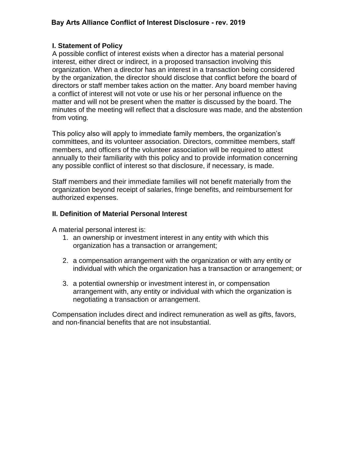# **I. Statement of Policy**

A possible conflict of interest exists when a director has a material personal interest, either direct or indirect, in a proposed transaction involving this organization. When a director has an interest in a transaction being considered by the organization, the director should disclose that conflict before the board of directors or staff member takes action on the matter. Any board member having a conflict of interest will not vote or use his or her personal influence on the matter and will not be present when the matter is discussed by the board. The minutes of the meeting will reflect that a disclosure was made, and the abstention from voting.

This policy also will apply to immediate family members, the organization's committees, and its volunteer association. Directors, committee members, staff members, and officers of the volunteer association will be required to attest annually to their familiarity with this policy and to provide information concerning any possible conflict of interest so that disclosure, if necessary, is made.

Staff members and their immediate families will not benefit materially from the organization beyond receipt of salaries, fringe benefits, and reimbursement for authorized expenses.

# **II. Definition of Material Personal Interest**

A material personal interest is:

- 1. an ownership or investment interest in any entity with which this organization has a transaction or arrangement;
- 2. a compensation arrangement with the organization or with any entity or individual with which the organization has a transaction or arrangement; or
- 3. a potential ownership or investment interest in, or compensation arrangement with, any entity or individual with which the organization is negotiating a transaction or arrangement.

Compensation includes direct and indirect remuneration as well as gifts, favors, and non-financial benefits that are not insubstantial.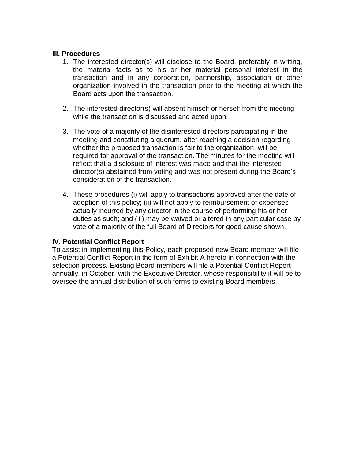#### **III. Procedures**

- 1. The interested director(s) will disclose to the Board, preferably in writing, the material facts as to his or her material personal interest in the transaction and in any corporation, partnership, association or other organization involved in the transaction prior to the meeting at which the Board acts upon the transaction.
- 2. The interested director(s) will absent himself or herself from the meeting while the transaction is discussed and acted upon.
- 3. The vote of a majority of the disinterested directors participating in the meeting and constituting a quorum, after reaching a decision regarding whether the proposed transaction is fair to the organization, will be required for approval of the transaction. The minutes for the meeting will reflect that a disclosure of interest was made and that the interested director(s) abstained from voting and was not present during the Board's consideration of the transaction.
- 4. These procedures (i) will apply to transactions approved after the date of adoption of this policy; (ii) will not apply to reimbursement of expenses actually incurred by any director in the course of performing his or her duties as such; and (iii) may be waived or altered in any particular case by vote of a majority of the full Board of Directors for good cause shown.

### **IV. Potential Conflict Report**

To assist in implementing this Policy, each proposed new Board member will file a Potential Conflict Report in the form of Exhibit A hereto in connection with the selection process. Existing Board members will file a Potential Conflict Report annually, in October, with the Executive Director, whose responsibility it will be to oversee the annual distribution of such forms to existing Board members.